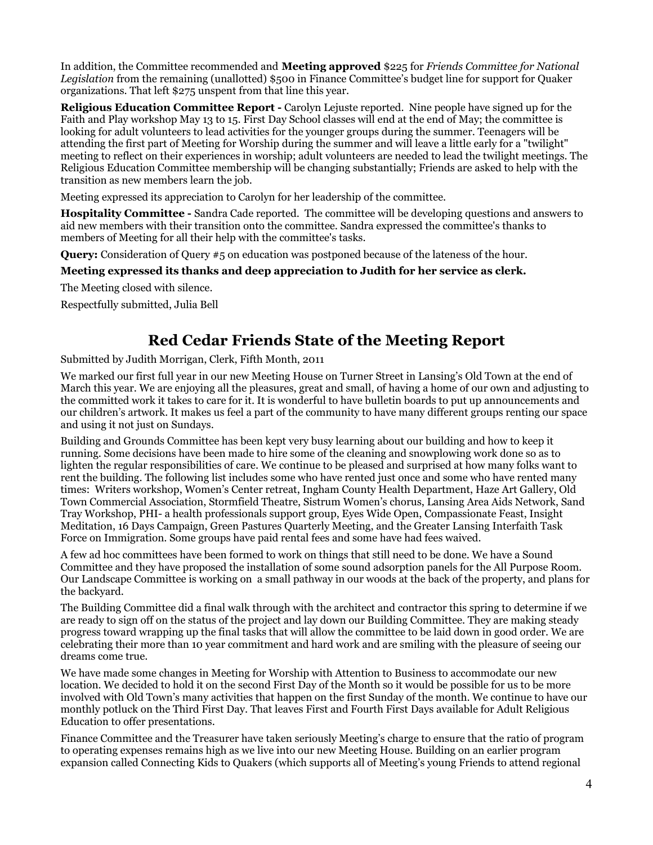## **Red Cedar Friends State of the Meeting Report**

Submitted by Judith Morrigan, Clerk, Fifth Month, 2011

We marked our first full year in our new Meeting House on Turner Street in Lansing's Old Town at the end of March this year. We are enjoying all the pleasures, great and small, of having a home of our own and adjusting to the committed work it takes to care for it. It is wonderful to have bulletin boards to put up announcements and our children's artwork. It makes us feel a part of the community to have many different groups renting our space and using it not just on Sundays.

Building and Grounds Committee has been kept very busy learning about our building and how to keep it running. Some decisions have been made to hire some of the cleaning and snowplowing work done so as to lighten the regular responsibilities of care. We continue to be pleased and surprised at how many folks want to rent the building. The following list includes some who have rented just once and some who have rented many times: Writers workshop, Women's Center retreat, Ingham County Health Department, Haze Art Gallery, Old Town Commercial Association, Stormfield Theatre, Sistrum Women's chorus, Lansing Area Aids Network, Sand Tray Workshop, PHI- a health professionals support group, Eyes Wide Open, Compassionate Feast, Insight Meditation, 16 Days Campaign, Green Pastures Quarterly Meeting, and the Greater Lansing Interfaith Task Force on Immigration. Some groups have paid rental fees and some have had fees waived.

A few ad hoc committees have been formed to work on things that still need to be done. We have a Sound Committee and they have proposed the installation of some sound adsorption panels for the All Purpose Room. Our Landscape Committee is working on a small pathway in our woods at the back of the property, and plans for the backyard.

The Building Committee did a final walk through with the architect and contractor this spring to determine if we are ready to sign off on the status of the project and lay down our Building Committee. They are making steady progress toward wrapping up the final tasks that will allow the committee to be laid down in good order. We are celebrating their more than 10 year commitment and hard work and are smiling with the pleasure of seeing our dreams come true.

We have made some changes in Meeting for Worship with Attention to Business to accommodate our new location. We decided to hold it on the second First Day of the Month so it would be possible for us to be more involved with Old Town's many activities that happen on the first Sunday of the month. We continue to have our monthly potluck on the Third First Day. That leaves First and Fourth First Days available for Adult Religious Education to offer presentations.

Finance Committee and the Treasurer have taken seriously Meeting's charge to ensure that the ratio of program to operating expenses remains high as we live into our new Meeting House. Building on an earlier program expansion called Connecting Kids to Quakers (which supports all of Meeting's young Friends to attend regional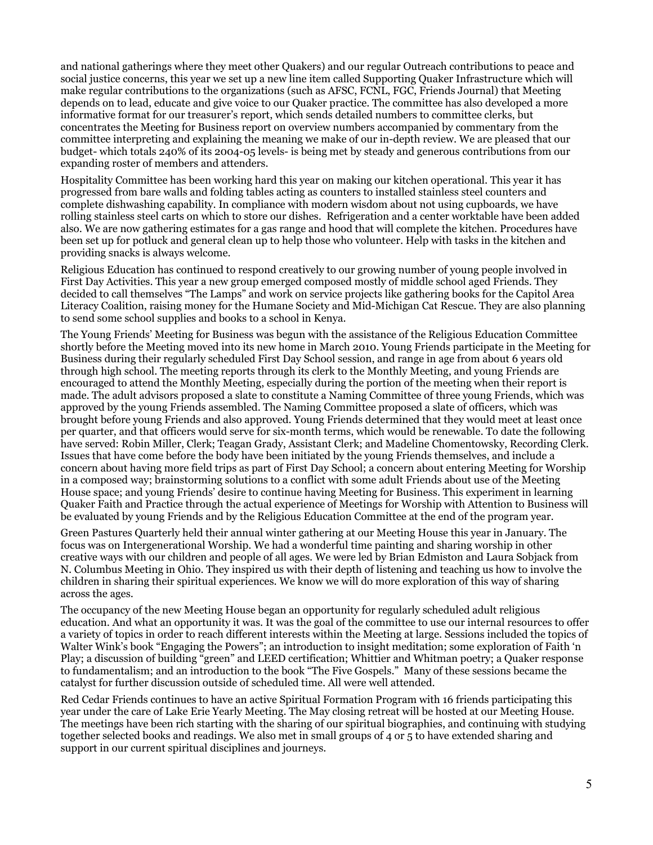and national gatherings where they meet other Quakers) and our regular Outreach contributions to peace and social justice concerns, this year we set up a new line item called Supporting Quaker Infrastructure which will make regular contributions to the organizations (such as AFSC, FCNL, FGC, Friends Journal) that Meeting depends on to lead, educate and give voice to our Quaker practice. The committee has also developed a more informative format for our treasurer's report, which sends detailed numbers to committee clerks, but concentrates the Meeting for Business report on overview numbers accompanied by commentary from the committee interpreting and explaining the meaning we make of our in-depth review. We are pleased that our budget- which totals 240% of its 2004-05 levels- is being met by steady and generous contributions from our expanding roster of members and attenders.

Hospitality Committee has been working hard this year on making our kitchen operational. This year it has progressed from bare walls and folding tables acting as counters to installed stainless steel counters and complete dishwashing capability. In compliance with modern wisdom about not using cupboards, we have rolling stainless steel carts on which to store our dishes. Refrigeration and a center worktable have been added also. We are now gathering estimates for a gas range and hood that will complete the kitchen. Procedures have been set up for potluck and general clean up to help those who volunteer. Help with tasks in the kitchen and providing snacks is always welcome.

Religious Education has continued to respond creatively to our growing number of young people involved in First Day Activities. This year a new group emerged composed mostly of middle school aged Friends. They decided to call themselves "The Lamps" and work on service projects like gathering books for the Capitol Area Literacy Coalition, raising money for the Humane Society and Mid-Michigan Cat Rescue. They are also planning to send some school supplies and books to a school in Kenya.

The Young Friends' Meeting for Business was begun with the assistance of the Religious Education Committee shortly before the Meeting moved into its new home in March 2010. Young Friends participate in the Meeting for Business during their regularly scheduled First Day School session, and range in age from about 6 years old through high school. The meeting reports through its clerk to the Monthly Meeting, and young Friends are encouraged to attend the Monthly Meeting, especially during the portion of the meeting when their report is made. The adult advisors proposed a slate to constitute a Naming Committee of three young Friends, which was approved by the young Friends assembled. The Naming Committee proposed a slate of officers, which was brought before young Friends and also approved. Young Friends determined that they would meet at least once per quarter, and that officers would serve for six-month terms, which would be renewable. To date the following have served: Robin Miller, Clerk; Teagan Grady, Assistant Clerk; and Madeline Chomentowsky, Recording Clerk. Issues that have come before the body have been initiated by the young Friends themselves, and include a concern about having more field trips as part of First Day School; a concern about entering Meeting for Worship in a composed way; brainstorming solutions to a conflict with some adult Friends about use of the Meeting House space; and young Friends' desire to continue having Meeting for Business. This experiment in learning Quaker Faith and Practice through the actual experience of Meetings for Worship with Attention to Business will be evaluated by young Friends and by the Religious Education Committee at the end of the program year.

Green Pastures Quarterly held their annual winter gathering at our Meeting House this year in January. The focus was on Intergenerational Worship. We had a wonderful time painting and sharing worship in other creative ways with our children and people of all ages. We were led by Brian Edmiston and Laura Sobjack from N. Columbus Meeting in Ohio. They inspired us with their depth of listening and teaching us how to involve the children in sharing their spiritual experiences. We know we will do more exploration of this way of sharing across the ages.

The occupancy of the new Meeting House began an opportunity for regularly scheduled adult religious education. And what an opportunity it was. It was the goal of the committee to use our internal resources to offer a variety of topics in order to reach different interests within the Meeting at large. Sessions included the topics of Walter Wink's book "Engaging the Powers"; an introduction to insight meditation; some exploration of Faith 'n Play; a discussion of building "green" and LEED certification; Whittier and Whitman poetry; a Quaker response to fundamentalism; and an introduction to the book "The Five Gospels." Many of these sessions became the catalyst for further discussion outside of scheduled time. All were well attended.

Red Cedar Friends continues to have an active Spiritual Formation Program with 16 friends participating this year under the care of Lake Erie Yearly Meeting. The May closing retreat will be hosted at our Meeting House. The meetings have been rich starting with the sharing of our spiritual biographies, and continuing with studying together selected books and readings. We also met in small groups of 4 or 5 to have extended sharing and support in our current spiritual disciplines and journeys.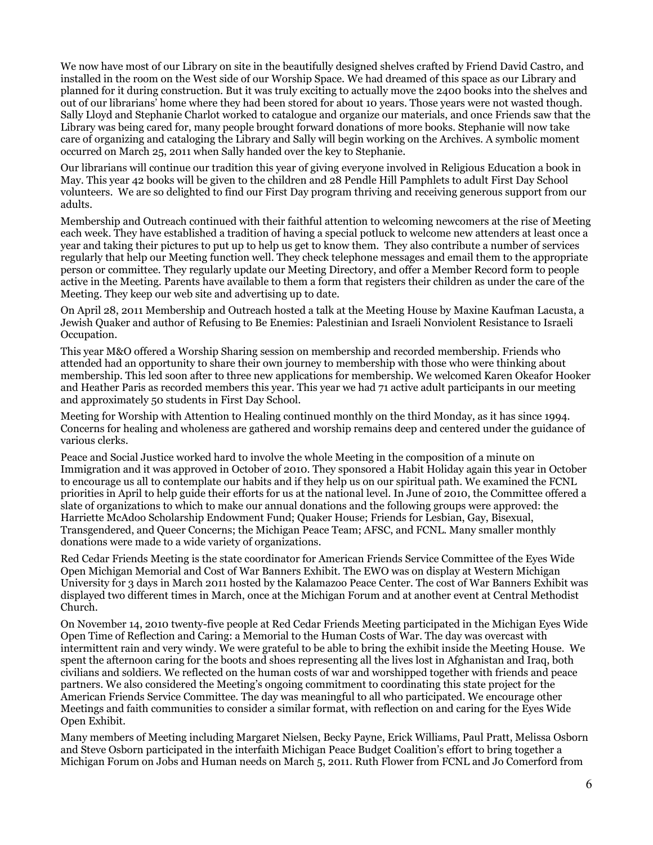We now have most of our Library on site in the beautifully designed shelves crafted by Friend David Castro, and installed in the room on the West side of our Worship Space. We had dreamed of this space as our Library and planned for it during construction. But it was truly exciting to actually move the 2400 books into the shelves and out of our librarians' home where they had been stored for about 10 years. Those years were not wasted though. Sally Lloyd and Stephanie Charlot worked to catalogue and organize our materials, and once Friends saw that the Library was being cared for, many people brought forward donations of more books. Stephanie will now take care of organizing and cataloging the Library and Sally will begin working on the Archives. A symbolic moment occurred on March 25, 2011 when Sally handed over the key to Stephanie.

Our librarians will continue our tradition this year of giving everyone involved in Religious Education a book in May. This year 42 books will be given to the children and 28 Pendle Hill Pamphlets to adult First Day School volunteers. We are so delighted to find our First Day program thriving and receiving generous support from our adults.

Membership and Outreach continued with their faithful attention to welcoming newcomers at the rise of Meeting each week. They have established a tradition of having a special potluck to welcome new attenders at least once a year and taking their pictures to put up to help us get to know them. They also contribute a number of services regularly that help our Meeting function well. They check telephone messages and email them to the appropriate person or committee. They regularly update our Meeting Directory, and offer a Member Record form to people active in the Meeting. Parents have available to them a form that registers their children as under the care of the Meeting. They keep our web site and advertising up to date.

On April 28, 2011 Membership and Outreach hosted a talk at the Meeting House by Maxine Kaufman Lacusta, a Jewish Quaker and author of Refusing to Be Enemies: Palestinian and Israeli Nonviolent Resistance to Israeli Occupation.

This year M&O offered a Worship Sharing session on membership and recorded membership. Friends who attended had an opportunity to share their own journey to membership with those who were thinking about membership. This led soon after to three new applications for membership. We welcomed Karen Okeafor Hooker and Heather Paris as recorded members this year. This year we had 71 active adult participants in our meeting and approximately 50 students in First Day School.

Meeting for Worship with Attention to Healing continued monthly on the third Monday, as it has since 1994. Concerns for healing and wholeness are gathered and worship remains deep and centered under the guidance of various clerks.

Peace and Social Justice worked hard to involve the whole Meeting in the composition of a minute on Immigration and it was approved in October of 2010. They sponsored a Habit Holiday again this year in October to encourage us all to contemplate our habits and if they help us on our spiritual path. We examined the FCNL priorities in April to help guide their efforts for us at the national level. In June of 2010, the Committee offered a slate of organizations to which to make our annual donations and the following groups were approved: the Harriette McAdoo Scholarship Endowment Fund; Quaker House; Friends for Lesbian, Gay, Bisexual, Transgendered, and Queer Concerns; the Michigan Peace Team; AFSC, and FCNL. Many smaller monthly donations were made to a wide variety of organizations.

Red Cedar Friends Meeting is the state coordinator for American Friends Service Committee of the Eyes Wide Open Michigan Memorial and Cost of War Banners Exhibit. The EWO was on display at Western Michigan University for 3 days in March 2011 hosted by the Kalamazoo Peace Center. The cost of War Banners Exhibit was displayed two different times in March, once at the Michigan Forum and at another event at Central Methodist Church.

On November 14, 2010 twenty-five people at Red Cedar Friends Meeting participated in the Michigan Eyes Wide Open Time of Reflection and Caring: a Memorial to the Human Costs of War. The day was overcast with intermittent rain and very windy. We were grateful to be able to bring the exhibit inside the Meeting House. We spent the afternoon caring for the boots and shoes representing all the lives lost in Afghanistan and Iraq, both civilians and soldiers. We reflected on the human costs of war and worshipped together with friends and peace partners. We also considered the Meeting's ongoing commitment to coordinating this state project for the American Friends Service Committee. The day was meaningful to all who participated. We encourage other Meetings and faith communities to consider a similar format, with reflection on and caring for the Eyes Wide Open Exhibit.

Many members of Meeting including Margaret Nielsen, Becky Payne, Erick Williams, Paul Pratt, Melissa Osborn and Steve Osborn participated in the interfaith Michigan Peace Budget Coalition's effort to bring together a Michigan Forum on Jobs and Human needs on March 5, 2011. Ruth Flower from FCNL and Jo Comerford from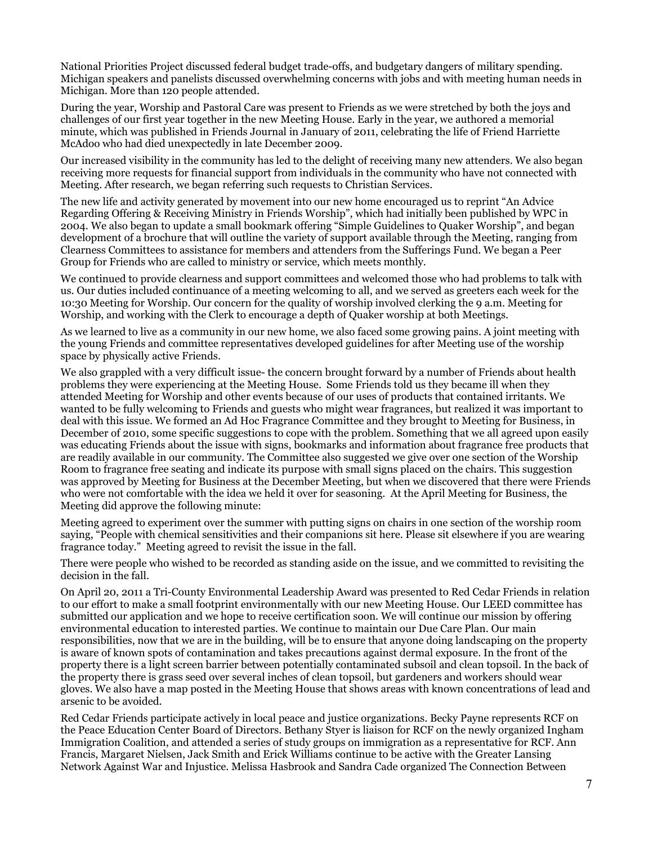National Priorities Project discussed federal budget trade-offs, and budgetary dangers of military spending. Michigan speakers and panelists discussed overwhelming concerns with jobs and with meeting human needs in Michigan. More than 120 people attended.

During the year, Worship and Pastoral Care was present to Friends as we were stretched by both the joys and challenges of our first year together in the new Meeting House. Early in the year, we authored a memorial minute, which was published in Friends Journal in January of 2011, celebrating the life of Friend Harriette McAdoo who had died unexpectedly in late December 2009.

Our increased visibility in the community has led to the delight of receiving many new attenders. We also began receiving more requests for financial support from individuals in the community who have not connected with Meeting. After research, we began referring such requests to Christian Services.

The new life and activity generated by movement into our new home encouraged us to reprint "An Advice Regarding Offering & Receiving Ministry in Friends Worship", which had initially been published by WPC in 2004. We also began to update a small bookmark offering "Simple Guidelines to Quaker Worship", and began development of a brochure that will outline the variety of support available through the Meeting, ranging from Clearness Committees to assistance for members and attenders from the Sufferings Fund. We began a Peer Group for Friends who are called to ministry or service, which meets monthly.

We continued to provide clearness and support committees and welcomed those who had problems to talk with us. Our duties included continuance of a meeting welcoming to all, and we served as greeters each week for the 10:30 Meeting for Worship. Our concern for the quality of worship involved clerking the 9 a.m. Meeting for Worship, and working with the Clerk to encourage a depth of Quaker worship at both Meetings.

As we learned to live as a community in our new home, we also faced some growing pains. A joint meeting with the young Friends and committee representatives developed guidelines for after Meeting use of the worship space by physically active Friends.

We also grappled with a very difficult issue- the concern brought forward by a number of Friends about health problems they were experiencing at the Meeting House. Some Friends told us they became ill when they attended Meeting for Worship and other events because of our uses of products that contained irritants. We wanted to be fully welcoming to Friends and guests who might wear fragrances, but realized it was important to deal with this issue. We formed an Ad Hoc Fragrance Committee and they brought to Meeting for Business, in December of 2010, some specific suggestions to cope with the problem. Something that we all agreed upon easily was educating Friends about the issue with signs, bookmarks and information about fragrance free products that are readily available in our community. The Committee also suggested we give over one section of the Worship Room to fragrance free seating and indicate its purpose with small signs placed on the chairs. This suggestion was approved by Meeting for Business at the December Meeting, but when we discovered that there were Friends who were not comfortable with the idea we held it over for seasoning. At the April Meeting for Business, the Meeting did approve the following minute:

Meeting agreed to experiment over the summer with putting signs on chairs in one section of the worship room saying, "People with chemical sensitivities and their companions sit here. Please sit elsewhere if you are wearing fragrance today." Meeting agreed to revisit the issue in the fall.

There were people who wished to be recorded as standing aside on the issue, and we committed to revisiting the decision in the fall.

On April 20, 2011 a Tri-County Environmental Leadership Award was presented to Red Cedar Friends in relation to our effort to make a small footprint environmentally with our new Meeting House. Our LEED committee has submitted our application and we hope to receive certification soon. We will continue our mission by offering environmental education to interested parties. We continue to maintain our Due Care Plan. Our main responsibilities, now that we are in the building, will be to ensure that anyone doing landscaping on the property is aware of known spots of contamination and takes precautions against dermal exposure. In the front of the property there is a light screen barrier between potentially contaminated subsoil and clean topsoil. In the back of the property there is grass seed over several inches of clean topsoil, but gardeners and workers should wear gloves. We also have a map posted in the Meeting House that shows areas with known concentrations of lead and arsenic to be avoided.

Red Cedar Friends participate actively in local peace and justice organizations. Becky Payne represents RCF on the Peace Education Center Board of Directors. Bethany Styer is liaison for RCF on the newly organized Ingham Immigration Coalition, and attended a series of study groups on immigration as a representative for RCF. Ann Francis, Margaret Nielsen, Jack Smith and Erick Williams continue to be active with the Greater Lansing Network Against War and Injustice. Melissa Hasbrook and Sandra Cade organized The Connection Between